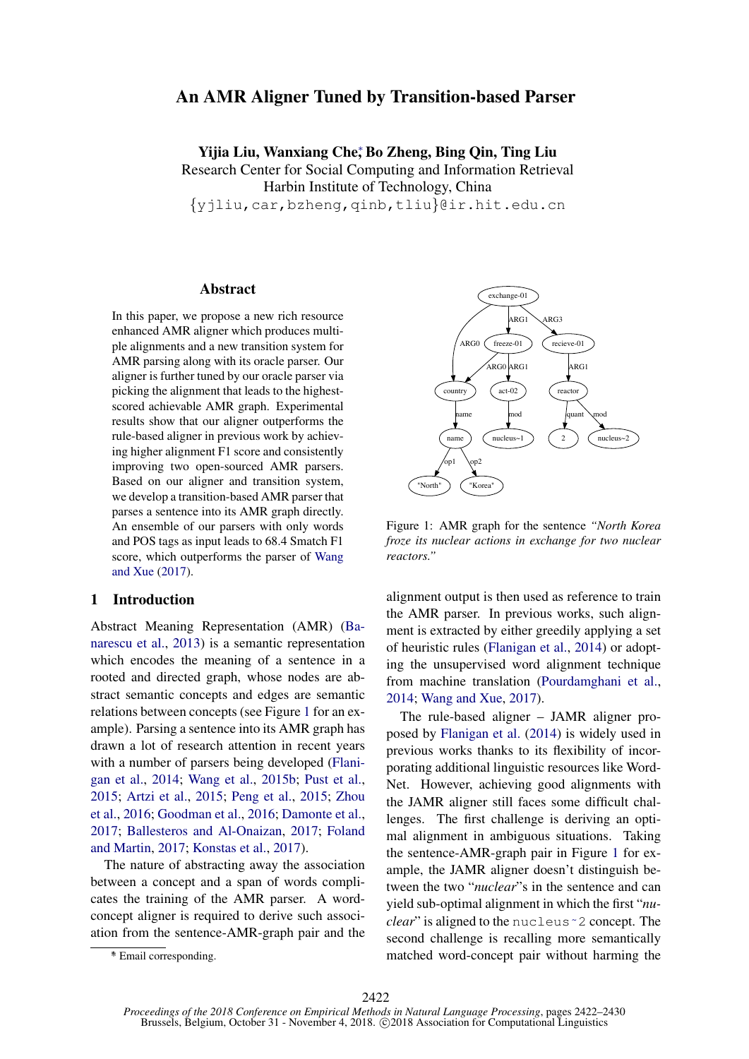# An AMR Aligner Tuned by Transition-based Parser

Yijia Liu, Wanxiang Che<sup>∗</sup> , Bo Zheng, Bing Qin, Ting Liu Research Center for Social Computing and Information Retrieval Harbin Institute of Technology, China {yjliu,car,bzheng,qinb,tliu}@ir.hit.edu.cn

#### Abstract

In this paper, we propose a new rich resource enhanced AMR aligner which produces multiple alignments and a new transition system for AMR parsing along with its oracle parser. Our aligner is further tuned by our oracle parser via picking the alignment that leads to the highestscored achievable AMR graph. Experimental results show that our aligner outperforms the rule-based aligner in previous work by achieving higher alignment F1 score and consistently improving two open-sourced AMR parsers. Based on our aligner and transition system, we develop a transition-based AMR parser that parses a sentence into its AMR graph directly. An ensemble of our parsers with only words and POS tags as input leads to 68.4 Smatch F1 score, which outperforms the parser of [Wang](#page-8-0) [and Xue](#page-8-0) [\(2017\)](#page-8-0).

## <span id="page-0-1"></span>1 Introduction

Abstract Meaning Representation (AMR) [\(Ba](#page-8-1)[narescu et al.,](#page-8-1) [2013\)](#page-8-1) is a semantic representation which encodes the meaning of a sentence in a rooted and directed graph, whose nodes are abstract semantic concepts and edges are semantic relations between concepts (see Figure [1](#page-0-0) for an example). Parsing a sentence into its AMR graph has drawn a lot of research attention in recent years with a number of parsers being developed [\(Flani](#page-8-2)[gan et al.,](#page-8-2) [2014;](#page-8-2) [Wang et al.,](#page-8-3) [2015b;](#page-8-3) [Pust et al.,](#page-8-4) [2015;](#page-8-4) [Artzi et al.,](#page-8-5) [2015;](#page-8-5) [Peng et al.,](#page-8-6) [2015;](#page-8-6) [Zhou](#page-8-7) [et al.,](#page-8-7) [2016;](#page-8-7) [Goodman et al.,](#page-8-8) [2016;](#page-8-8) [Damonte et al.,](#page-8-9) [2017;](#page-8-9) [Ballesteros and Al-Onaizan,](#page-8-10) [2017;](#page-8-10) [Foland](#page-8-11) [and Martin,](#page-8-11) [2017;](#page-8-11) [Konstas et al.,](#page-8-12) [2017\)](#page-8-12).

The nature of abstracting away the association between a concept and a span of words complicates the training of the AMR parser. A wordconcept aligner is required to derive such association from the sentence-AMR-graph pair and the



Figure 1: AMR graph for the sentence *"North Korea froze its nuclear actions in exchange for two nuclear reactors."*

<span id="page-0-0"></span>alignment output is then used as reference to train the AMR parser. In previous works, such alignment is extracted by either greedily applying a set of heuristic rules [\(Flanigan et al.,](#page-8-2) [2014\)](#page-8-2) or adopting the unsupervised word alignment technique from machine translation [\(Pourdamghani et al.,](#page-8-13) [2014;](#page-8-13) [Wang and Xue,](#page-8-0) [2017\)](#page-8-0).

The rule-based aligner – JAMR aligner proposed by [Flanigan et al.](#page-8-2) [\(2014\)](#page-8-2) is widely used in previous works thanks to its flexibility of incorporating additional linguistic resources like Word-Net. However, achieving good alignments with the JAMR aligner still faces some difficult challenges. The first challenge is deriving an optimal alignment in ambiguous situations. Taking the sentence-AMR-graph pair in Figure [1](#page-0-0) for example, the JAMR aligner doesn't distinguish between the two "*nuclear*"s in the sentence and can yield sub-optimal alignment in which the first "*nuclear*" is aligned to the nucleu[s˜2](~) concept. The second challenge is recalling more semantically matched word-concept pair without harming the

<sup>∗</sup> \* Email corresponding.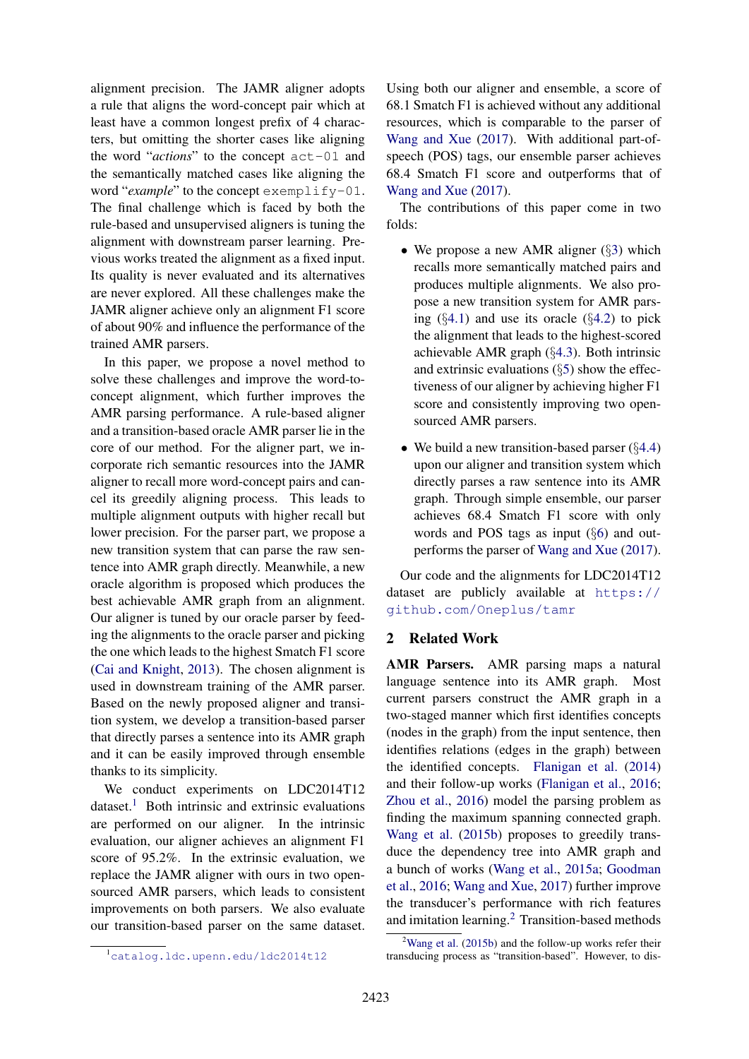alignment precision. The JAMR aligner adopts a rule that aligns the word-concept pair which at least have a common longest prefix of 4 characters, but omitting the shorter cases like aligning the word "*actions*" to the concept act-01 and the semantically matched cases like aligning the word "*example*" to the concept exemplify-01. The final challenge which is faced by both the rule-based and unsupervised aligners is tuning the alignment with downstream parser learning. Previous works treated the alignment as a fixed input. Its quality is never evaluated and its alternatives are never explored. All these challenges make the JAMR aligner achieve only an alignment F1 score of about 90% and influence the performance of the trained AMR parsers.

In this paper, we propose a novel method to solve these challenges and improve the word-toconcept alignment, which further improves the AMR parsing performance. A rule-based aligner and a transition-based oracle AMR parser lie in the core of our method. For the aligner part, we incorporate rich semantic resources into the JAMR aligner to recall more word-concept pairs and cancel its greedily aligning process. This leads to multiple alignment outputs with higher recall but lower precision. For the parser part, we propose a new transition system that can parse the raw sentence into AMR graph directly. Meanwhile, a new oracle algorithm is proposed which produces the best achievable AMR graph from an alignment. Our aligner is tuned by our oracle parser by feeding the alignments to the oracle parser and picking the one which leads to the highest Smatch F1 score [\(Cai and Knight,](#page-8-14) [2013\)](#page-8-14). The chosen alignment is used in downstream training of the AMR parser. Based on the newly proposed aligner and transition system, we develop a transition-based parser that directly parses a sentence into its AMR graph and it can be easily improved through ensemble thanks to its simplicity.

We conduct experiments on LDC2014T12  $dataset.<sup>1</sup>$  $dataset.<sup>1</sup>$  $dataset.<sup>1</sup>$  Both intrinsic and extrinsic evaluations are performed on our aligner. In the intrinsic evaluation, our aligner achieves an alignment F1 score of 95.2%. In the extrinsic evaluation, we replace the JAMR aligner with ours in two opensourced AMR parsers, which leads to consistent improvements on both parsers. We also evaluate our transition-based parser on the same dataset.

<span id="page-1-0"></span><sup>1</sup><catalog.ldc.upenn.edu/ldc2014t12>

Using both our aligner and ensemble, a score of 68.1 Smatch F1 is achieved without any additional resources, which is comparable to the parser of [Wang and Xue](#page-8-0) [\(2017\)](#page-8-0). With additional part-ofspeech (POS) tags, our ensemble parser achieves 68.4 Smatch F1 score and outperforms that of [Wang and Xue](#page-8-0) [\(2017\)](#page-8-0).

The contributions of this paper come in two folds:

- We propose a new AMR aligner (§[3\)](#page-2-0) which recalls more semantically matched pairs and produces multiple alignments. We also propose a new transition system for AMR parsing  $(\S4.1)$  $(\S4.1)$  and use its oracle  $(\S4.2)$  $(\S4.2)$  to pick the alignment that leads to the highest-scored achievable AMR graph (§[4.3\)](#page-5-0). Both intrinsic and extrinsic evaluations  $(\S5)$  $(\S5)$  show the effectiveness of our aligner by achieving higher F1 score and consistently improving two opensourced AMR parsers.
- We build a new transition-based parser (§[4.4\)](#page-5-2) upon our aligner and transition system which directly parses a raw sentence into its AMR graph. Through simple ensemble, our parser achieves 68.4 Smatch F1 score with only words and POS tags as input (§[6\)](#page-6-0) and outperforms the parser of [Wang and Xue](#page-8-0) [\(2017\)](#page-8-0).

Our code and the alignments for LDC2014T12 dataset are publicly available at [https://](https://github.com/Oneplus/tamr) [github.com/Oneplus/tamr](https://github.com/Oneplus/tamr)

# 2 Related Work

AMR Parsers. AMR parsing maps a natural language sentence into its AMR graph. Most current parsers construct the AMR graph in a two-staged manner which first identifies concepts (nodes in the graph) from the input sentence, then identifies relations (edges in the graph) between the identified concepts. [Flanigan et al.](#page-8-2) [\(2014\)](#page-8-2) and their follow-up works [\(Flanigan et al.,](#page-8-15) [2016;](#page-8-15) [Zhou et al.,](#page-8-7) [2016\)](#page-8-7) model the parsing problem as finding the maximum spanning connected graph. [Wang et al.](#page-8-3) [\(2015b\)](#page-8-3) proposes to greedily transduce the dependency tree into AMR graph and a bunch of works [\(Wang et al.,](#page-8-16) [2015a;](#page-8-16) [Goodman](#page-8-8) [et al.,](#page-8-8) [2016;](#page-8-8) [Wang and Xue,](#page-8-0) [2017\)](#page-8-0) further improve the transducer's performance with rich features and imitation learning.[2](#page-1-1) Transition-based methods

<span id="page-1-1"></span><sup>&</sup>lt;sup>2</sup>[Wang et al.](#page-8-3) [\(2015b\)](#page-8-3) and the follow-up works refer their transducing process as "transition-based". However, to dis-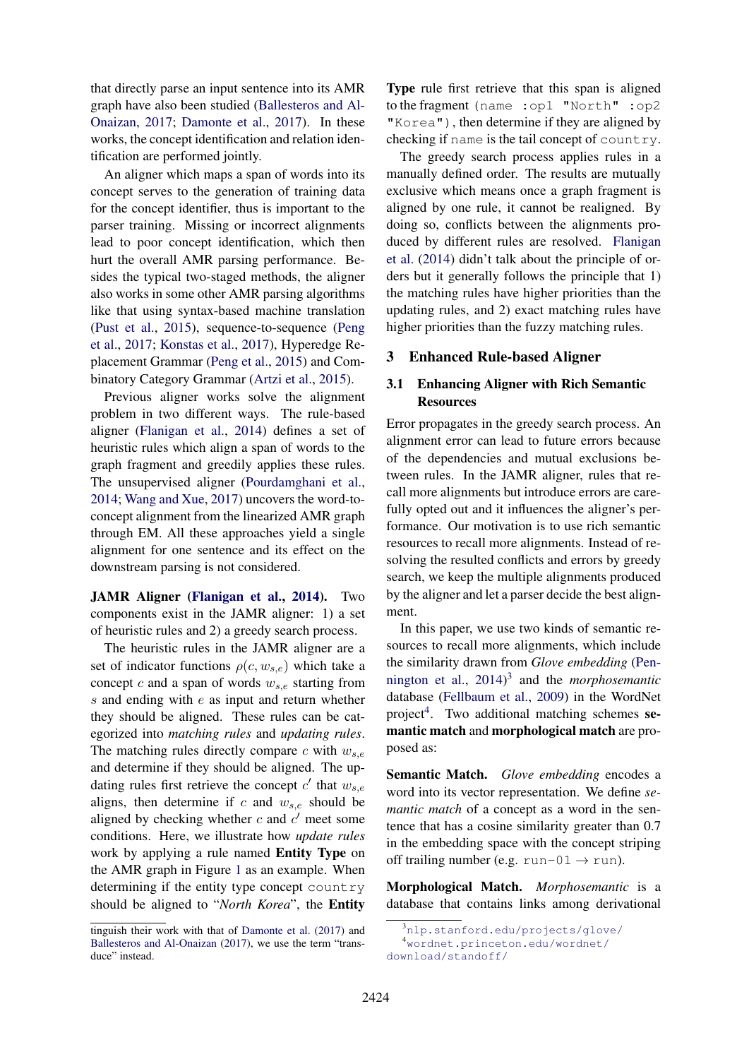that directly parse an input sentence into its AMR graph have also been studied [\(Ballesteros and Al-](#page-8-10)[Onaizan,](#page-8-10) [2017;](#page-8-10) [Damonte et al.,](#page-8-9) [2017\)](#page-8-9). In these works, the concept identification and relation identification are performed jointly.

An aligner which maps a span of words into its concept serves to the generation of training data for the concept identifier, thus is important to the parser training. Missing or incorrect alignments lead to poor concept identification, which then hurt the overall AMR parsing performance. Besides the typical two-staged methods, the aligner also works in some other AMR parsing algorithms like that using syntax-based machine translation [\(Pust et al.,](#page-8-4) [2015\)](#page-8-4), sequence-to-sequence [\(Peng](#page-8-17) [et al.,](#page-8-17) [2017;](#page-8-17) [Konstas et al.,](#page-8-12) [2017\)](#page-8-12), Hyperedge Replacement Grammar [\(Peng et al.,](#page-8-6) [2015\)](#page-8-6) and Combinatory Category Grammar [\(Artzi et al.,](#page-8-5) [2015\)](#page-8-5).

Previous aligner works solve the alignment problem in two different ways. The rule-based aligner [\(Flanigan et al.,](#page-8-2) [2014\)](#page-8-2) defines a set of heuristic rules which align a span of words to the graph fragment and greedily applies these rules. The unsupervised aligner [\(Pourdamghani et al.,](#page-8-13) [2014;](#page-8-13) [Wang and Xue,](#page-8-0) [2017\)](#page-8-0) uncovers the word-toconcept alignment from the linearized AMR graph through EM. All these approaches yield a single alignment for one sentence and its effect on the downstream parsing is not considered.

JAMR Aligner [\(Flanigan et al.,](#page-8-2) [2014\)](#page-8-2). Two components exist in the JAMR aligner: 1) a set of heuristic rules and 2) a greedy search process.

The heuristic rules in the JAMR aligner are a set of indicator functions  $\rho(c, w_{s,e})$  which take a concept c and a span of words  $w_{s,e}$  starting from  $s$  and ending with  $e$  as input and return whether they should be aligned. These rules can be categorized into *matching rules* and *updating rules*. The matching rules directly compare c with  $w_{s,e}$ and determine if they should be aligned. The updating rules first retrieve the concept  $c'$  that  $w_{s,e}$ aligns, then determine if c and  $w_{s,e}$  should be aligned by checking whether  $c$  and  $c'$  meet some conditions. Here, we illustrate how *update rules* work by applying a rule named Entity Type on the AMR graph in Figure [1](#page-0-0) as an example. When determining if the entity type concept country should be aligned to "*North Korea*", the Entity Type rule first retrieve that this span is aligned to the fragment (name :op1 "North" :op2 "Korea"), then determine if they are aligned by checking if name is the tail concept of country.

The greedy search process applies rules in a manually defined order. The results are mutually exclusive which means once a graph fragment is aligned by one rule, it cannot be realigned. By doing so, conflicts between the alignments produced by different rules are resolved. [Flanigan](#page-8-2) [et al.](#page-8-2) [\(2014\)](#page-8-2) didn't talk about the principle of orders but it generally follows the principle that 1) the matching rules have higher priorities than the updating rules, and 2) exact matching rules have higher priorities than the fuzzy matching rules.

# <span id="page-2-0"></span>3 Enhanced Rule-based Aligner

# 3.1 Enhancing Aligner with Rich Semantic **Resources**

Error propagates in the greedy search process. An alignment error can lead to future errors because of the dependencies and mutual exclusions between rules. In the JAMR aligner, rules that recall more alignments but introduce errors are carefully opted out and it influences the aligner's performance. Our motivation is to use rich semantic resources to recall more alignments. Instead of resolving the resulted conflicts and errors by greedy search, we keep the multiple alignments produced by the aligner and let a parser decide the best alignment.

In this paper, we use two kinds of semantic resources to recall more alignments, which include the similarity drawn from *Glove embedding* [\(Pen](#page-8-18)[nington et al.,](#page-8-18) [2014\)](#page-8-18) [3](#page-2-1) and the *morphosemantic* database [\(Fellbaum et al.,](#page-8-19) [2009\)](#page-8-19) in the WordNet project<sup>[4](#page-2-2)</sup>. Two additional matching schemes semantic match and morphological match are proposed as:

Semantic Match. *Glove embedding* encodes a word into its vector representation. We define *semantic match* of a concept as a word in the sentence that has a cosine similarity greater than 0.7 in the embedding space with the concept striping off trailing number (e.g. run-01  $\rightarrow$  run).

Morphological Match. *Morphosemantic* is a database that contains links among derivational

tinguish their work with that of [Damonte et al.](#page-8-9) [\(2017\)](#page-8-9) and [Ballesteros and Al-Onaizan](#page-8-10) [\(2017\)](#page-8-10), we use the term "transduce" instead.

<span id="page-2-2"></span><span id="page-2-1"></span><sup>3</sup><nlp.stanford.edu/projects/glove/> <sup>4</sup>[wordnet.princeton.edu/wordnet/](wordnet.princeton.edu/wordnet/download/standoff/)

[download/standoff/](wordnet.princeton.edu/wordnet/download/standoff/)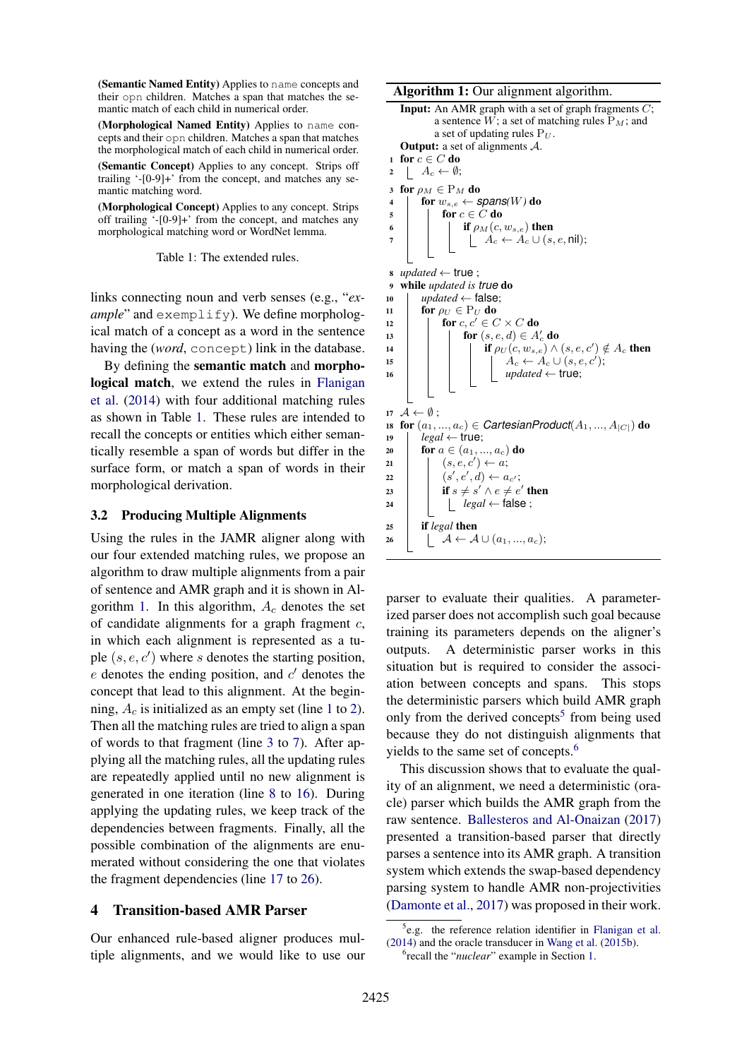(Semantic Named Entity) Applies to name concepts and their opn children. Matches a span that matches the semantic match of each child in numerical order.

(Morphological Named Entity) Applies to name concepts and their opn children. Matches a span that matches the morphological match of each child in numerical order.

(Semantic Concept) Applies to any concept. Strips off trailing '-[0-9]+' from the concept, and matches any semantic matching word.

(Morphological Concept) Applies to any concept. Strips off trailing '-[0-9]+' from the concept, and matches any morphological matching word or WordNet lemma.

<span id="page-3-0"></span>Table 1: The extended rules.

links connecting noun and verb senses (e.g., "*example*" and exemplify). We define morphological match of a concept as a word in the sentence having the (*word*, concept) link in the database.

By defining the semantic match and morphological match, we extend the rules in [Flanigan](#page-8-2) [et al.](#page-8-2) [\(2014\)](#page-8-2) with four additional matching rules as shown in Table [1.](#page-3-0) These rules are intended to recall the concepts or entities which either semantically resemble a span of words but differ in the surface form, or match a span of words in their morphological derivation.

# 3.2 Producing Multiple Alignments

Using the rules in the JAMR aligner along with our four extended matching rules, we propose an algorithm to draw multiple alignments from a pair of sentence and AMR graph and it is shown in Al-gorithm [1.](#page-3-1) In this algorithm,  $A_c$  denotes the set of candidate alignments for a graph fragment  $c$ , in which each alignment is represented as a tuple  $(s, e, c')$  where s denotes the starting position,  $e$  denotes the ending position, and  $c'$  denotes the concept that lead to this alignment. At the beginning,  $A_c$  is initialized as an empty set (line [1](#page-3-2) to [2\)](#page-3-3). Then all the matching rules are tried to align a span of words to that fragment (line [3](#page-3-4) to [7\)](#page-3-5). After applying all the matching rules, all the updating rules are repeatedly applied until no new alignment is generated in one iteration (line [8](#page-3-6) to [16\)](#page-3-7). During applying the updating rules, we keep track of the dependencies between fragments. Finally, all the possible combination of the alignments are enumerated without considering the one that violates the fragment dependencies (line [17](#page-3-8) to [26\)](#page-3-9).

# 4 Transition-based AMR Parser

Our enhanced rule-based aligner produces multiple alignments, and we would like to use our

Algorithm 1: Our alignment algorithm.

```
Input: An AMR graph with a set of graph fragments C;
             a sentence W; a set of matching rules P_M; and
             a set of updating rules P_U.
    Output: a set of alignments A.
 1 for c \in C do
 2 | A_c \leftarrow \emptyset;3 for \rho_M \in P_M do
 4 for w_{s,e} \leftarrow spans(W) do
 \mathfrak{s} | for c \in C do
 6 if \rho_M(c, w_{s,e}) then
 7 | | | A_c \leftarrow A_c \cup (s, e, \text{nil});
 \mathbf{s} updated \leftarrow true:
 9 while updated is true do
10 updated \leftarrow false;
11 for \rho_U \in P_U do
12 for c, c' \in C \times C do
13 for (s, e, d) \in A_c' do
14 if \rho_U(c, w_{s,e}) \wedge (s, e, c') \notin A_c then
15 \begin{array}{|c|c|c|c|c|}\n\hline\n15 & 1 & 1 & A_c & \leftarrow & A_c & \cup & (s,e,c');\n\hline\n\end{array}16 d i i i i i i updated \leftarrow true;
17 \mathcal{A} \leftarrow \emptyset;
18 for (a_1, ..., a_c) \in CartesianProduct(A_1, ..., A_{|C|}) do
19 \vert legal \leftarrow true;
20 for a \in (a_1, ..., a_c) do
21 \quad | \quad (s,e,c') \leftarrow a;\begin{array}{|c|c|c|c|c|}\hline \rule{0pt}{12pt}\quad & (s',e',d) \leftarrow a_{c'}; \hline \end{array}23 if s \neq s' \land e \neq e' then
24 l legal \leftarrow false;
25 if legal then
26 \Box \mathcal{A} \leftarrow \mathcal{A} \cup (a_1, ..., a_c);
```
<span id="page-3-9"></span><span id="page-3-8"></span><span id="page-3-7"></span><span id="page-3-1"></span>parser to evaluate their qualities. A parameterized parser does not accomplish such goal because training its parameters depends on the aligner's outputs. A deterministic parser works in this situation but is required to consider the association between concepts and spans. This stops the deterministic parsers which build AMR graph only from the derived concepts<sup>[5](#page-3-10)</sup> from being used because they do not distinguish alignments that yields to the same set of concepts.<sup>[6](#page-3-11)</sup>

This discussion shows that to evaluate the quality of an alignment, we need a deterministic (oracle) parser which builds the AMR graph from the raw sentence. [Ballesteros and Al-Onaizan](#page-8-10) [\(2017\)](#page-8-10) presented a transition-based parser that directly parses a sentence into its AMR graph. A transition system which extends the swap-based dependency parsing system to handle AMR non-projectivities [\(Damonte et al.,](#page-8-9) [2017\)](#page-8-9) was proposed in their work.

<span id="page-3-10"></span><sup>&</sup>lt;sup>5</sup>e.g. the reference relation identifier in [Flanigan et al.](#page-8-2) [\(2014\)](#page-8-2) and the oracle transducer in [Wang et al.](#page-8-3) [\(2015b\)](#page-8-3).

<span id="page-3-11"></span><sup>6</sup> recall the "*nuclear*" example in Section [1.](#page-0-1)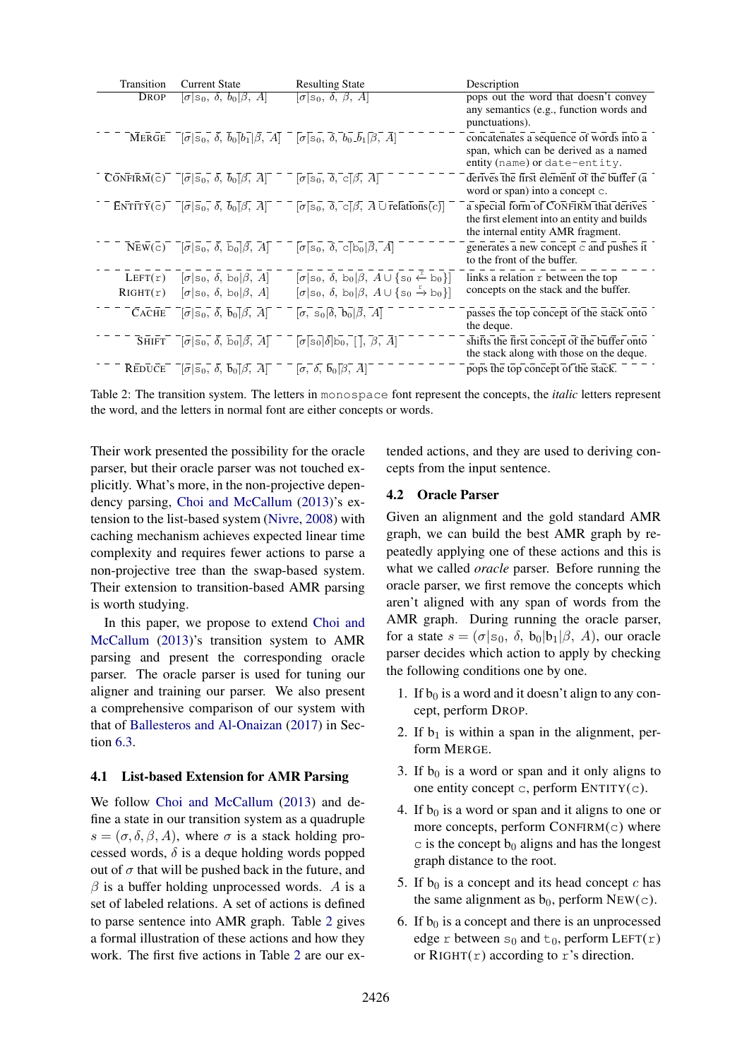| <b>Transition</b> | <b>Current State</b>                                                                                                                                                                                                                                                                                                                                                                                                                                                  | <b>Resulting State</b>                                                                                                                                                                                                                                                                                                                                                                                                                                                                                                                                                                                  | Description                                                                                                                |
|-------------------|-----------------------------------------------------------------------------------------------------------------------------------------------------------------------------------------------------------------------------------------------------------------------------------------------------------------------------------------------------------------------------------------------------------------------------------------------------------------------|---------------------------------------------------------------------------------------------------------------------------------------------------------------------------------------------------------------------------------------------------------------------------------------------------------------------------------------------------------------------------------------------------------------------------------------------------------------------------------------------------------------------------------------------------------------------------------------------------------|----------------------------------------------------------------------------------------------------------------------------|
| DROP              | $\sigma$ s <sub>0</sub> , $\delta$ , $b_0$ $\beta$ , A                                                                                                                                                                                                                                                                                                                                                                                                                | $\sigma$ s <sub>0</sub> , $\delta$ , $\beta$ , A                                                                                                                                                                                                                                                                                                                                                                                                                                                                                                                                                        | pops out the word that doesn't convey<br>any semantics (e.g., function words and<br>punctuations).                         |
| <b>MERGE</b>      | $\lceil \sigma \rceil$ s <sub>0</sub> , $\bar{\delta}$ , $\bar{b}_0 \lceil \bar{b}_1 \rceil \bar{\beta}$ , $\bar{A} \rceil$ $\lceil \sigma \rceil$ s <sub>0</sub> , $\bar{\delta}$ , $\bar{b}_0 \bar{b}_1 \lceil \bar{\beta}$ , $\bar{A} \rceil$                                                                                                                                                                                                                      |                                                                                                                                                                                                                                                                                                                                                                                                                                                                                                                                                                                                         | concatenates a sequence of words into a<br>span, which can be derived as a named<br>entity (name) or date-entity.          |
|                   | $\overline{\text{CONFIRM}}(\overline{c})^ \overline{[\sigma]S_0}$ , $\overline{\delta}$ , $\overline{b_0[\beta]}$ , $\overline{A}$ $\overline{\phantom{a}}$ $\overline{\phantom{a}}$ $\overline{\phantom{a}}$ $\overline{\phantom{a}}$ $\overline{\phantom{a}}$ $\overline{\phantom{a}}$ $\overline{\phantom{a}}$ $\overline{\phantom{a}}$ $\overline{\phantom{a}}$ $\overline{\phantom{a}}$ $\overline{\phantom{a}}$ $\overline{\phantom{a}}$ $\overline{\phantom{a$ |                                                                                                                                                                                                                                                                                                                                                                                                                                                                                                                                                                                                         | derives the first element of the buffer $(a)$<br>word or span) into a concept c.                                           |
|                   |                                                                                                                                                                                                                                                                                                                                                                                                                                                                       | ENTITY(c) $\begin{bmatrix} \overline{\sigma} & \overline{\sigma} & \overline{\delta} \\ \overline{\sigma} & \overline{\delta} & \overline{\delta} \end{bmatrix}$ $\begin{bmatrix} \overline{\delta} & \overline{\delta} & \overline{\delta} \\ \overline{\delta} & \overline{\delta} & \overline{\delta} \end{bmatrix}$ $\begin{bmatrix} \overline{\sigma} & \overline{\delta} & \overline{\delta} \\ \overline{\sigma} & \overline{\delta} & \overline{\delta} \end{bmatrix}$ $\begin{bmatrix} \overline{\delta} & \overline{\delta} & \overline{\delta} \\ \overline{\delta} & \overline{\delta} & \$ | a special form of CONFIRM that derives<br>the first element into an entity and builds<br>the internal entity AMR fragment. |
|                   | $\overline{\text{New}}(\overline{c})$ $\overline{[\sigma]s_0}$ , $\overline{\delta}$ , $\overline{b_0}$ $\overline{\beta}$ , $\overline{A}$ $\overline{]}$ $\overline{[\sigma]s_0}$ , $\overline{\delta}$ , $\overline{c}$ $\overline{[b_0}$ $\overline{\beta}$ , $\overline{A}$                                                                                                                                                                                      |                                                                                                                                                                                                                                                                                                                                                                                                                                                                                                                                                                                                         | generates a new concept $\subset$ and pushes it<br>to the front of the buffer.                                             |
| LEFT(r)           | $[\sigma s_0, \delta, b_0 \beta, A]$                                                                                                                                                                                                                                                                                                                                                                                                                                  | $[\sigma s_0, \delta, b_0 \beta, A \cup \{s_0 \stackrel{r}{\leftarrow} b_0\}]$                                                                                                                                                                                                                                                                                                                                                                                                                                                                                                                          | links a relation $r$ between the top                                                                                       |
| RIGHT(r)          | $[\sigma s_0, \delta, b_0 \beta, A]$                                                                                                                                                                                                                                                                                                                                                                                                                                  | $[\sigma s_0, \delta, b_0 \beta, A \cup \{s_0 \stackrel{r}{\rightarrow} b_0\}]$                                                                                                                                                                                                                                                                                                                                                                                                                                                                                                                         | concepts on the stack and the buffer.                                                                                      |
| <b>CACHE</b>      | $\overline{[\sigma]}\overline{s_0}$ , $\overline{\delta}$ , $\overline{b_0}$ $\overline{\beta}$ , $\overline{A}$ $\overline{\beta}$                                                                                                                                                                                                                                                                                                                                   | $\lbrack \sigma, s_0 \rbrack \delta, b_0 \rbrack \beta, A$                                                                                                                                                                                                                                                                                                                                                                                                                                                                                                                                              | passes the top concept of the stack onto<br>the deque.                                                                     |
| <b>SHIFT</b>      | $\overline{[\sigma]}\overline{s_0}$ , $\overline{\delta}$ , $\overline{b_0}$ $\overline{\beta}$ , $\overline{A}$                                                                                                                                                                                                                                                                                                                                                      | $\lbrack \sigma \lbrack s_0 \rbrack \delta \rbrack s_0, \lbrack \lbrack , \lbrack \beta, \bar{A} \rbrack \rbrack$                                                                                                                                                                                                                                                                                                                                                                                                                                                                                       | shifts the first concept of the buffer onto<br>the stack along with those on the deque.                                    |
| <b>REDUCE</b>     | $\lceil \sigma \rceil$ s <sub>0</sub> , $\delta$ , $\bar{b}_0 \rceil \beta$ , $\bar{A} \rceil$ $\lceil \sigma \rceil$ , $\delta$ , $\bar{b}_0 \rceil \beta$ , $\bar{A} \rceil$                                                                                                                                                                                                                                                                                        |                                                                                                                                                                                                                                                                                                                                                                                                                                                                                                                                                                                                         | pops the top concept of the stack.                                                                                         |

<span id="page-4-2"></span>Table 2: The transition system. The letters in monospace font represent the concepts, the *italic* letters represent the word, and the letters in normal font are either concepts or words.

Their work presented the possibility for the oracle parser, but their oracle parser was not touched explicitly. What's more, in the non-projective dependency parsing, [Choi and McCallum](#page-8-20) [\(2013\)](#page-8-20)'s extension to the list-based system [\(Nivre,](#page-8-21) [2008\)](#page-8-21) with caching mechanism achieves expected linear time complexity and requires fewer actions to parse a non-projective tree than the swap-based system. Their extension to transition-based AMR parsing is worth studying.

In this paper, we propose to extend [Choi and](#page-8-20) [McCallum](#page-8-20) [\(2013\)](#page-8-20)'s transition system to AMR parsing and present the corresponding oracle parser. The oracle parser is used for tuning our aligner and training our parser. We also present a comprehensive comparison of our system with that of [Ballesteros and Al-Onaizan](#page-8-10) [\(2017\)](#page-8-10) in Section [6.3.](#page-6-1)

### <span id="page-4-0"></span>4.1 List-based Extension for AMR Parsing

We follow [Choi and McCallum](#page-8-20) [\(2013\)](#page-8-20) and define a state in our transition system as a quadruple  $s = (\sigma, \delta, \beta, A)$ , where  $\sigma$  is a stack holding processed words,  $\delta$  is a deque holding words popped out of  $\sigma$  that will be pushed back in the future, and  $\beta$  is a buffer holding unprocessed words. A is a set of labeled relations. A set of actions is defined to parse sentence into AMR graph. Table [2](#page-4-2) gives a formal illustration of these actions and how they work. The first five actions in Table [2](#page-4-2) are our ex-

tended actions, and they are used to deriving concepts from the input sentence.

# <span id="page-4-1"></span>4.2 Oracle Parser

Given an alignment and the gold standard AMR graph, we can build the best AMR graph by repeatedly applying one of these actions and this is what we called *oracle* parser. Before running the oracle parser, we first remove the concepts which aren't aligned with any span of words from the AMR graph. During running the oracle parser, for a state  $s = (\sigma | s_0, \delta, b_0 | b_1 | \beta, A)$ , our oracle parser decides which action to apply by checking the following conditions one by one.

- 1. If  $b_0$  is a word and it doesn't align to any concept, perform DROP.
- 2. If  $b_1$  is within a span in the alignment, perform MERGE.
- 3. If  $b_0$  is a word or span and it only aligns to one entity concept c, perform ENTITY(c).
- 4. If  $b_0$  is a word or span and it aligns to one or more concepts, perform CONFIRM(c) where  $\circ$  is the concept  $b_0$  aligns and has the longest graph distance to the root.
- 5. If  $b_0$  is a concept and its head concept  $c$  has the same alignment as  $b_0$ , perform NEW(c).
- 6. If  $b_0$  is a concept and there is an unprocessed edge r between  $s_0$  and  $t_0$ , perform LEFT(r) or  $RIGHT(r)$  according to r's direction.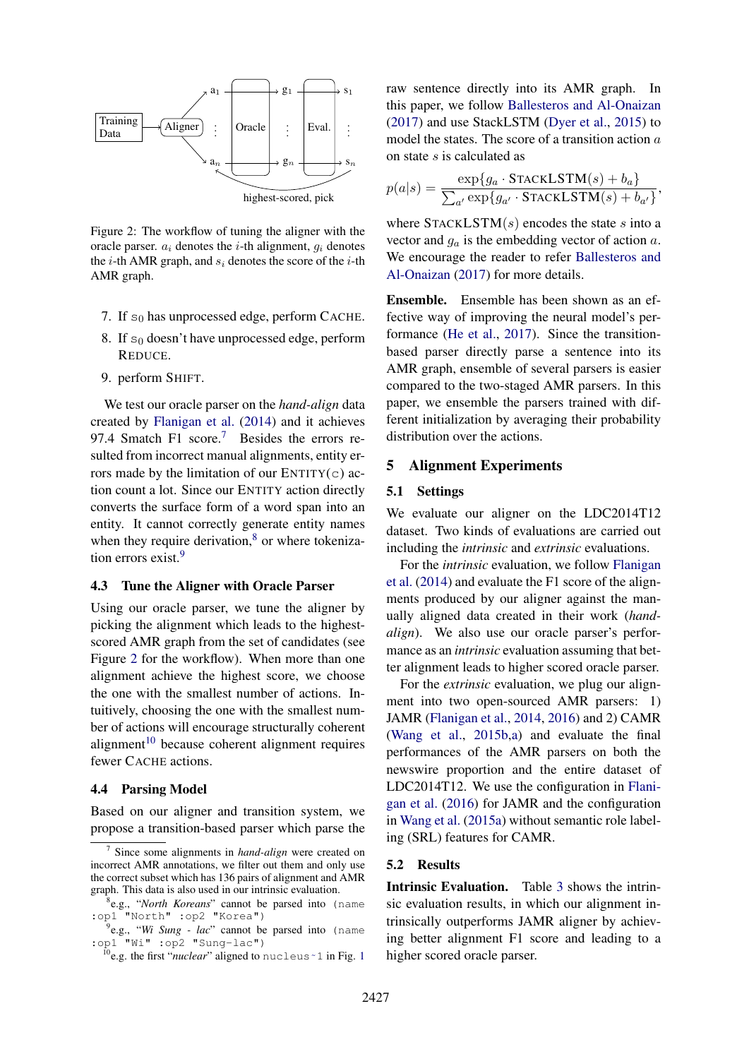

<span id="page-5-6"></span>Figure 2: The workflow of tuning the aligner with the oracle parser.  $a_i$  denotes the *i*-th alignment,  $q_i$  denotes the *i*-th AMR graph, and  $s_i$  denotes the score of the *i*-th AMR graph.

- 7. If  $s_0$  has unprocessed edge, perform CACHE.
- 8. If  $s_0$  doesn't have unprocessed edge, perform REDUCE.
- 9. perform SHIFT.

We test our oracle parser on the *hand-align* data created by [Flanigan et al.](#page-8-2) [\(2014\)](#page-8-2) and it achieves 9[7](#page-5-3).4 Smatch F1 score. $\frac{7}{1}$  Besides the errors resulted from incorrect manual alignments, entity errors made by the limitation of our  $ENTITY(c)$  action count a lot. Since our ENTITY action directly converts the surface form of a word span into an entity. It cannot correctly generate entity names when they require derivation, $8$  or where tokenization errors exist.[9](#page-5-5)

#### <span id="page-5-0"></span>4.3 Tune the Aligner with Oracle Parser

Using our oracle parser, we tune the aligner by picking the alignment which leads to the highestscored AMR graph from the set of candidates (see Figure [2](#page-5-6) for the workflow). When more than one alignment achieve the highest score, we choose the one with the smallest number of actions. Intuitively, choosing the one with the smallest number of actions will encourage structurally coherent alignment<sup>[10](#page-5-7)</sup> because coherent alignment requires fewer CACHE actions.

### <span id="page-5-2"></span>4.4 Parsing Model

Based on our aligner and transition system, we propose a transition-based parser which parse the raw sentence directly into its AMR graph. In this paper, we follow [Ballesteros and Al-Onaizan](#page-8-10) [\(2017\)](#page-8-10) and use StackLSTM [\(Dyer et al.,](#page-8-22) [2015\)](#page-8-22) to model the states. The score of a transition action a on state s is calculated as

$$
p(a|s) = \frac{\exp\{g_a \cdot \text{STACKLSTM}(s) + b_a\}}{\sum_{a'} \exp\{g_{a'} \cdot \text{STACKLSTM}(s) + b_{a'}\}},
$$

where  $STACKLSTM(s)$  encodes the state s into a vector and  $g_a$  is the embedding vector of action  $a$ . We encourage the reader to refer [Ballesteros and](#page-8-10) [Al-Onaizan](#page-8-10) [\(2017\)](#page-8-10) for more details.

Ensemble. Ensemble has been shown as an effective way of improving the neural model's performance [\(He et al.,](#page-8-23) [2017\)](#page-8-23). Since the transitionbased parser directly parse a sentence into its AMR graph, ensemble of several parsers is easier compared to the two-staged AMR parsers. In this paper, we ensemble the parsers trained with different initialization by averaging their probability distribution over the actions.

### <span id="page-5-1"></span>5 Alignment Experiments

# 5.1 Settings

We evaluate our aligner on the LDC2014T12 dataset. Two kinds of evaluations are carried out including the *intrinsic* and *extrinsic* evaluations.

For the *intrinsic* evaluation, we follow [Flanigan](#page-8-2) [et al.](#page-8-2) [\(2014\)](#page-8-2) and evaluate the F1 score of the alignments produced by our aligner against the manually aligned data created in their work (*handalign*). We also use our oracle parser's performance as an *intrinsic* evaluation assuming that better alignment leads to higher scored oracle parser.

For the *extrinsic* evaluation, we plug our alignment into two open-sourced AMR parsers: 1) JAMR [\(Flanigan et al.,](#page-8-2) [2014,](#page-8-2) [2016\)](#page-8-15) and 2) CAMR [\(Wang et al.,](#page-8-3) [2015b,](#page-8-3)[a\)](#page-8-16) and evaluate the final performances of the AMR parsers on both the newswire proportion and the entire dataset of LDC2014T12. We use the configuration in [Flani](#page-8-15)[gan et al.](#page-8-15) [\(2016\)](#page-8-15) for JAMR and the configuration in [Wang et al.](#page-8-16) [\(2015a\)](#page-8-16) without semantic role labeling (SRL) features for CAMR.

### 5.2 Results

Intrinsic Evaluation. Table [3](#page-6-2) shows the intrinsic evaluation results, in which our alignment intrinsically outperforms JAMR aligner by achieving better alignment F1 score and leading to a higher scored oracle parser.

<span id="page-5-3"></span><sup>7</sup> Since some alignments in *hand-align* were created on incorrect AMR annotations, we filter out them and only use the correct subset which has 136 pairs of alignment and AMR graph. This data is also used in our intrinsic evaluation.

<span id="page-5-4"></span><sup>8</sup> e.g., "*North Koreans*" cannot be parsed into (name :op1 "North" :op2 "Korea")

<span id="page-5-5"></span><sup>9</sup> e.g., "*Wi Sung - lac*" cannot be parsed into (name :op1 "Wi" :op2 "Sung-lac")

<span id="page-5-7"></span><sup>&</sup>lt;sup>[1](#page-0-0)0</sup>e.g. the first "*nuclear*" aligned to nucleus ~1 in Fig. 1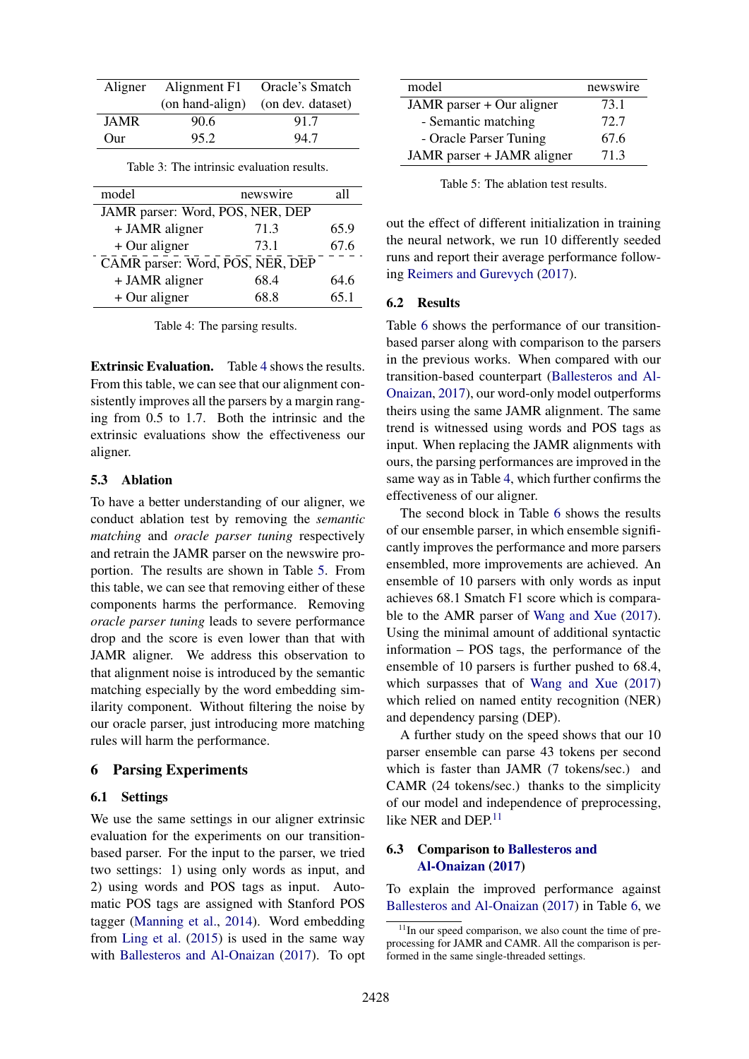| Aligner      | Alignment F1    | Oracle's Smatch   |  |
|--------------|-----------------|-------------------|--|
|              | (on hand-align) | (on dev. dataset) |  |
| <b>JAMR</b>  | 90.6            | 91.7              |  |
| $_{\rm Our}$ | 95.2            | 94.7              |  |

<span id="page-6-2"></span>Table 3: The intrinsic evaluation results.

| model                            | newswire | а11  |  |  |
|----------------------------------|----------|------|--|--|
| JAMR parser: Word, POS, NER, DEP |          |      |  |  |
| + JAMR aligner                   | 71.3     | 65.9 |  |  |
| $+$ Our aligner                  | 73.1     | 67.6 |  |  |
| CAMR parser: Word, POS, NER, DEP |          |      |  |  |
| + JAMR aligner                   | 68.4     | 64.6 |  |  |
| $+$ Our aligner                  | 68.8     | 65.1 |  |  |

<span id="page-6-3"></span>Table 4: The parsing results.

Extrinsic Evaluation. Table [4](#page-6-3) shows the results. From this table, we can see that our alignment consistently improves all the parsers by a margin ranging from 0.5 to 1.7. Both the intrinsic and the extrinsic evaluations show the effectiveness our aligner.

## 5.3 Ablation

To have a better understanding of our aligner, we conduct ablation test by removing the *semantic matching* and *oracle parser tuning* respectively and retrain the JAMR parser on the newswire proportion. The results are shown in Table [5.](#page-6-4) From this table, we can see that removing either of these components harms the performance. Removing *oracle parser tuning* leads to severe performance drop and the score is even lower than that with JAMR aligner. We address this observation to that alignment noise is introduced by the semantic matching especially by the word embedding similarity component. Without filtering the noise by our oracle parser, just introducing more matching rules will harm the performance.

#### <span id="page-6-0"></span>6 Parsing Experiments

#### 6.1 Settings

We use the same settings in our aligner extrinsic evaluation for the experiments on our transitionbased parser. For the input to the parser, we tried two settings: 1) using only words as input, and 2) using words and POS tags as input. Automatic POS tags are assigned with Stanford POS tagger [\(Manning et al.,](#page-8-24) [2014\)](#page-8-24). Word embedding from [Ling et al.](#page-8-25) [\(2015\)](#page-8-25) is used in the same way with [Ballesteros and Al-Onaizan](#page-8-10) [\(2017\)](#page-8-10). To opt

| model                      | newswire |
|----------------------------|----------|
| JAMR parser + Our aligner  | 73.1     |
| - Semantic matching        | 72.7     |
| - Oracle Parser Tuning     | 67.6     |
| JAMR parser + JAMR aligner | 71.3     |

<span id="page-6-4"></span>Table 5: The ablation test results.

out the effect of different initialization in training the neural network, we run 10 differently seeded runs and report their average performance following [Reimers and Gurevych](#page-8-26) [\(2017\)](#page-8-26).

#### 6.2 Results

Table [6](#page-7-0) shows the performance of our transitionbased parser along with comparison to the parsers in the previous works. When compared with our transition-based counterpart [\(Ballesteros and Al-](#page-8-10)[Onaizan,](#page-8-10) [2017\)](#page-8-10), our word-only model outperforms theirs using the same JAMR alignment. The same trend is witnessed using words and POS tags as input. When replacing the JAMR alignments with ours, the parsing performances are improved in the same way as in Table [4,](#page-6-3) which further confirms the effectiveness of our aligner.

The second block in Table [6](#page-7-0) shows the results of our ensemble parser, in which ensemble significantly improves the performance and more parsers ensembled, more improvements are achieved. An ensemble of 10 parsers with only words as input achieves 68.1 Smatch F1 score which is comparable to the AMR parser of [Wang and Xue](#page-8-0) [\(2017\)](#page-8-0). Using the minimal amount of additional syntactic information – POS tags, the performance of the ensemble of 10 parsers is further pushed to 68.4, which surpasses that of [Wang and Xue](#page-8-0) [\(2017\)](#page-8-0) which relied on named entity recognition (NER) and dependency parsing (DEP).

A further study on the speed shows that our 10 parser ensemble can parse 43 tokens per second which is faster than JAMR (7 tokens/sec.) and CAMR (24 tokens/sec.) thanks to the simplicity of our model and independence of preprocessing, like NER and DEP<sup>[11](#page-6-5)</sup>

# <span id="page-6-1"></span>6.3 Comparison to [Ballesteros and](#page-8-10) [Al-Onaizan](#page-8-10) [\(2017\)](#page-8-10)

To explain the improved performance against [Ballesteros and Al-Onaizan](#page-8-10) [\(2017\)](#page-8-10) in Table [6,](#page-7-0) we

<span id="page-6-5"></span> $11$ In our speed comparison, we also count the time of preprocessing for JAMR and CAMR. All the comparison is performed in the same single-threaded settings.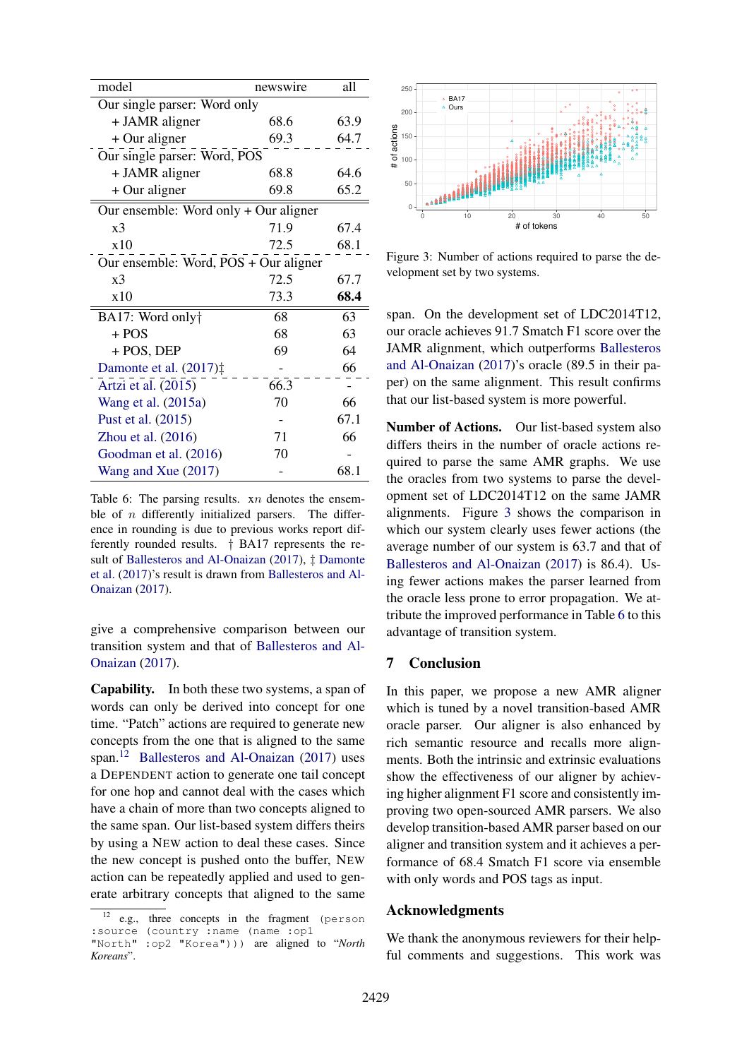| model                                                  | newswire                     | all  |  |  |  |
|--------------------------------------------------------|------------------------------|------|--|--|--|
| Our single parser: Word only                           |                              |      |  |  |  |
| + JAMR aligner                                         | 68.6                         | 63.9 |  |  |  |
| + Our aligner                                          | 69.3                         | 64.7 |  |  |  |
|                                                        | Our single parser: Word, POS |      |  |  |  |
| + JAMR aligner                                         | 68.8                         | 64.6 |  |  |  |
| $+$ Our aligner                                        | 69.8                         | 65.2 |  |  |  |
| Our ensemble: Word only + Our aligner                  |                              |      |  |  |  |
| x <sup>3</sup>                                         | 71.9                         | 67.4 |  |  |  |
| x10                                                    | 72.5                         | 68.1 |  |  |  |
| Our ensemble: Word, POS + Our aligner                  |                              |      |  |  |  |
| x <sub>3</sub>                                         | 72.5                         | 67.7 |  |  |  |
| x10                                                    | 73.3                         | 68.4 |  |  |  |
| BA17: Word only†                                       | 68                           | 63   |  |  |  |
| $+ POS$                                                | 68                           | 63   |  |  |  |
| + POS, DEP                                             | 69                           | 64   |  |  |  |
| Damonte et al. (2017) <sup><math>\ddagger</math></sup> |                              | 66   |  |  |  |
| Artzi et al. (2015)                                    | 66.3                         |      |  |  |  |
| Wang et al. (2015a)                                    | 70                           | 66   |  |  |  |
| Pust et al. (2015)                                     |                              | 67.1 |  |  |  |
| Zhou et al. $(2016)$                                   | 71                           | 66   |  |  |  |
| Goodman et al. (2016)                                  | 70                           |      |  |  |  |
| Wang and Xue (2017)                                    |                              | 68.1 |  |  |  |

<span id="page-7-0"></span>Table 6: The parsing results. *xn* denotes the ensemble of  $n$  differently initialized parsers. The difference in rounding is due to previous works report differently rounded results. † BA17 represents the result of [Ballesteros and Al-Onaizan](#page-8-10) [\(2017\)](#page-8-10), ‡ [Damonte](#page-8-9) [et al.](#page-8-9) [\(2017\)](#page-8-9)'s result is drawn from [Ballesteros and Al-](#page-8-10)[Onaizan](#page-8-10) [\(2017\)](#page-8-10).

give a comprehensive comparison between our transition system and that of [Ballesteros and Al-](#page-8-10)[Onaizan](#page-8-10) [\(2017\)](#page-8-10).

Capability. In both these two systems, a span of words can only be derived into concept for one time. "Patch" actions are required to generate new concepts from the one that is aligned to the same span.[12](#page-7-1) [Ballesteros and Al-Onaizan](#page-8-10) [\(2017\)](#page-8-10) uses a DEPENDENT action to generate one tail concept for one hop and cannot deal with the cases which have a chain of more than two concepts aligned to the same span. Our list-based system differs theirs by using a NEW action to deal these cases. Since the new concept is pushed onto the buffer, NEW action can be repeatedly applied and used to generate arbitrary concepts that aligned to the same



<span id="page-7-2"></span>Figure 3: Number of actions required to parse the development set by two systems.

span. On the development set of LDC2014T12, our oracle achieves 91.7 Smatch F1 score over the JAMR alignment, which outperforms [Ballesteros](#page-8-10) [and Al-Onaizan](#page-8-10) [\(2017\)](#page-8-10)'s oracle (89.5 in their paper) on the same alignment. This result confirms that our list-based system is more powerful.

Number of Actions. Our list-based system also differs theirs in the number of oracle actions required to parse the same AMR graphs. We use the oracles from two systems to parse the development set of LDC2014T12 on the same JAMR alignments. Figure [3](#page-7-2) shows the comparison in which our system clearly uses fewer actions (the average number of our system is 63.7 and that of [Ballesteros and Al-Onaizan](#page-8-10) [\(2017\)](#page-8-10) is 86.4). Using fewer actions makes the parser learned from the oracle less prone to error propagation. We attribute the improved performance in Table [6](#page-7-0) to this advantage of transition system.

# 7 Conclusion

In this paper, we propose a new AMR aligner which is tuned by a novel transition-based AMR oracle parser. Our aligner is also enhanced by rich semantic resource and recalls more alignments. Both the intrinsic and extrinsic evaluations show the effectiveness of our aligner by achieving higher alignment F1 score and consistently improving two open-sourced AMR parsers. We also develop transition-based AMR parser based on our aligner and transition system and it achieves a performance of 68.4 Smatch F1 score via ensemble with only words and POS tags as input.

# Acknowledgments

We thank the anonymous reviewers for their helpful comments and suggestions. This work was

<span id="page-7-1"></span>e.g., three concepts in the fragment (person :source (country :name (name :op1

<sup>&</sup>quot;North" :op2 "Korea"))) are aligned to "*North Koreans*".